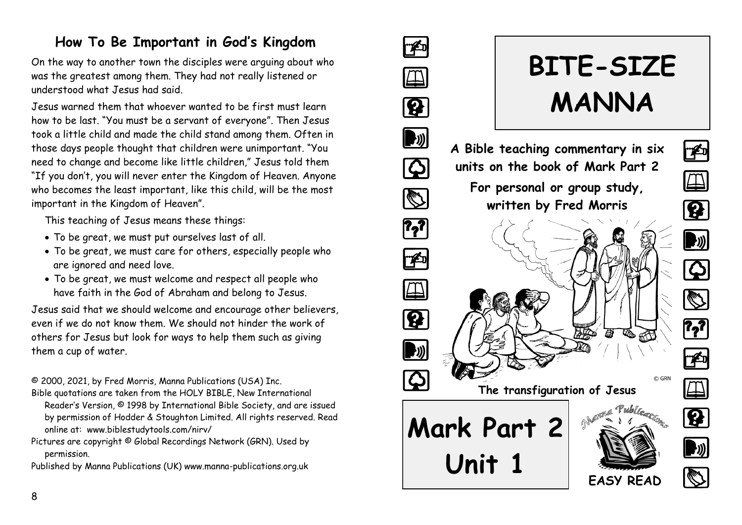# **How To Be Important in God's Kingdom**

On the way to another town the disciples were arguing about who was the greatest among them. They had not really listened or understood what Jesus had said.

Jesus warned them that whoever wanted to be first must learn how to be last. "You must be a servant of everyone". Then Jesus took a little child and made the child stand among them. Often in those days people thought that children were unimportant. "You need to change and become like little children," Jesus told them "If you don't, you will never enter the Kingdom of Heaven. Anyone who becomes the least important, like this child, will be the most important in the Kingdom of Heaven".

This teaching of Jesus means these things:

- To be great, we must put ourselves last of all.
- To be great, we must care for others, especially people who are ignored and need love.
- To be great, we must welcome and respect all people who have faith in the God of Abraham and belong to Jesus.

Jesus said that we should welcome and encourage other believers, even if we do not know them. We should not hinder the work of others for Jesus but look for ways to help them such as giving them a cup of water.

© 2000, 2021, by Fred Morris, Manna Publications (USA) Inc.

- Bible quotations are taken from the HOLY BIBLE, New International Reader's Version, © 1998 by International Bible Society, and are issued by permission of Hodder & Stoughton Limited. All rights reserved. Read online at: www.biblestudytools.com/nirv/
- Pictures are copyright © Global Recordings Network (GRN). Used by permission.
- Published by Manna Publications (UK) www.manna-publications.org.uk



# **BITE-SIZE MANNA**

 $\left[\begin{matrix} 1 \\ 2 \end{matrix}\right]$ 

 $\boldsymbol{\mathsf{Q}}$ 

1

14

 $\rightarrow$ 

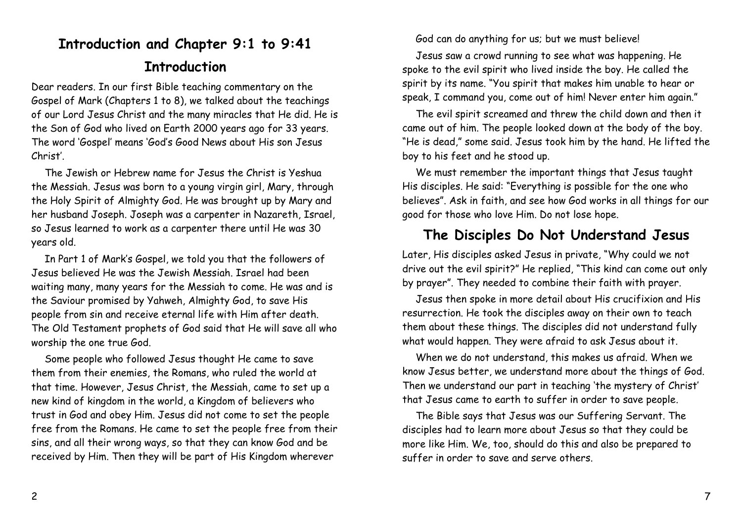## **Introduction and Chapter 9:1 to 9:41**

#### **Introduction**

Dear readers. In our first Bible teaching commentary on the Gospel of Mark (Chapters 1 to 8), we talked about the teachings of our Lord Jesus Christ and the many miracles that He did. He is the Son of God who lived on Earth 2000 years ago for 33 years. The word 'Gospel' means 'God's Good News about His son Jesus Christ'.

The Jewish or Hebrew name for Jesus the Christ is Yeshua the Messiah. Jesus was born to a young virgin girl, Mary, through the Holy Spirit of Almighty God. He was brought up by Mary and her husband Joseph. Joseph was a carpenter in Nazareth, Israel, so Jesus learned to work as a carpenter there until He was 30 years old.

In Part 1 of Mark's Gospel, we told you that the followers of Jesus believed He was the Jewish Messiah. Israel had been waiting many, many years for the Messiah to come. He was and is the Saviour promised by Yahweh, Almighty God, to save His people from sin and receive eternal life with Him after death. The Old Testament prophets of God said that He will save all who worship the one true God.

Some people who followed Jesus thought He came to save them from their enemies, the Romans, who ruled the world at that time. However, Jesus Christ, the Messiah, came to set up a new kind of kingdom in the world, a Kingdom of believers who trust in God and obey Him. Jesus did not come to set the people free from the Romans. He came to set the people free from their sins, and all their wrong ways, so that they can know God and be received by Him. Then they will be part of His Kingdom wherever

God can do anything for us; but we must believe!

Jesus saw a crowd running to see what was happening. He spoke to the evil spirit who lived inside the boy. He called the spirit by its name. "You spirit that makes him unable to hear or speak, I command you, come out of him! Never enter him again."

The evil spirit screamed and threw the child down and then it came out of him. The people looked down at the body of the boy. "He is dead," some said. Jesus took him by the hand. He lifted the boy to his feet and he stood up.

We must remember the important things that Jesus taught His disciples. He said: "Everything is possible for the one who believes". Ask in faith, and see how God works in all things for our good for those who love Him. Do not lose hope.

### **The Disciples Do Not Understand Jesus**

Later, His disciples asked Jesus in private, "Why could we not drive out the evil spirit?" He replied, "This kind can come out only by prayer". They needed to combine their faith with prayer.

Jesus then spoke in more detail about His crucifixion and His resurrection. He took the disciples away on their own to teach them about these things. The disciples did not understand fully what would happen. They were afraid to ask Jesus about it.

When we do not understand, this makes us afraid. When we know Jesus better, we understand more about the things of God. Then we understand our part in teaching 'the mystery of Christ' that Jesus came to earth to suffer in order to save people.

The Bible says that Jesus was our Suffering Servant. The disciples had to learn more about Jesus so that they could be more like Him. We, too, should do this and also be prepared to suffer in order to save and serve others.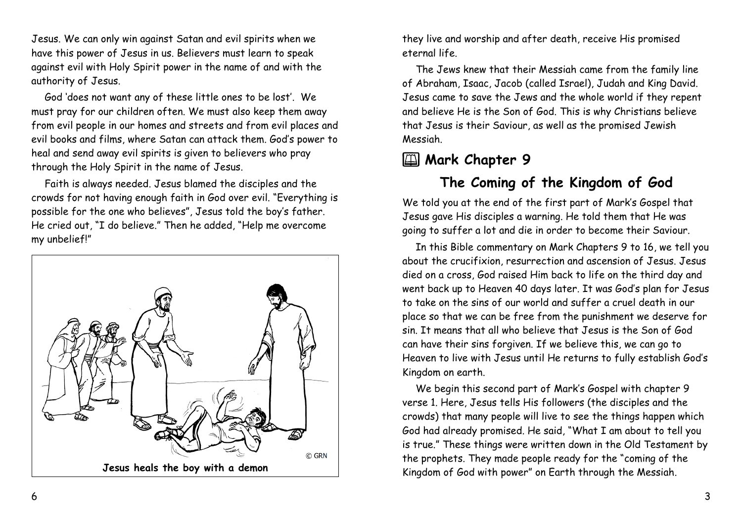Jesus. We can only win against Satan and evil spirits when we have this power of Jesus in us. Believers must learn to speak against evil with Holy Spirit power in the name of and with the authority of Jesus.

God 'does not want any of these little ones to be lost'. We must pray for our children often. We must also keep them away from evil people in our homes and streets and from evil places and evil books and films, where Satan can attack them. God's power to heal and send away evil spirits is given to believers who pray through the Holy Spirit in the name of Jesus.

Faith is always needed. Jesus blamed the disciples and the crowds for not having enough faith in God over evil. "Everything is possible for the one who believes", Jesus told the boy's father. He cried out, "I do believe." Then he added, "Help me overcome my unbelief!"



they live and worship and after death, receive His promised eternal life.

The Jews knew that their Messiah came from the family line of Abraham, Isaac, Jacob (called Israel), Judah and King David. Jesus came to save the Jews and the whole world if they repent and believe He is the Son of God. This is why Christians believe that Jesus is their Saviour, as well as the promised Jewish Messiah.

# 2 **Mark Chapter 9**

## **The Coming of the Kingdom of God**

We told you at the end of the first part of Mark's Gospel that Jesus gave His disciples a warning. He told them that He was going to suffer a lot and die in order to become their Saviour.

In this Bible commentary on Mark Chapters 9 to 16, we tell you about the crucifixion, resurrection and ascension of Jesus. Jesus died on a cross, God raised Him back to life on the third day and went back up to Heaven 40 days later. It was God's plan for Jesus to take on the sins of our world and suffer a cruel death in our place so that we can be free from the punishment we deserve for sin. It means that all who believe that Jesus is the Son of God can have their sins forgiven. If we believe this, we can go to Heaven to live with Jesus until He returns to fully establish God's Kingdom on earth.

We begin this second part of Mark's Gospel with chapter 9 verse 1. Here, Jesus tells His followers (the disciples and the crowds) that many people will live to see the things happen which God had already promised. He said, "What I am about to tell you is true." These things were written down in the Old Testament by the prophets. They made people ready for the "coming of the Kingdom of God with power" on Earth through the Messiah.